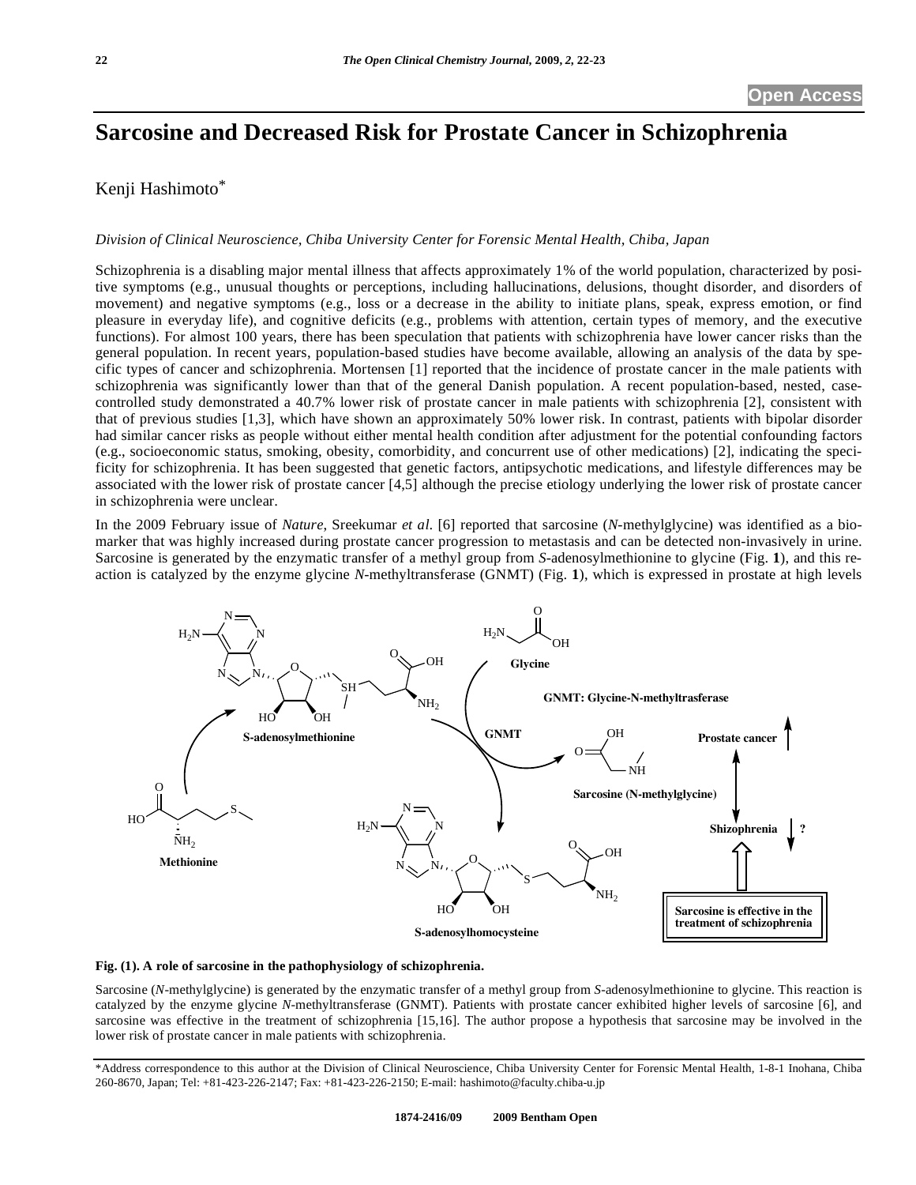# **Sarcosine and Decreased Risk for Prostate Cancer in Schizophrenia**

## Kenji Hashimoto\*

#### *Division of Clinical Neuroscience, Chiba University Center for Forensic Mental Health, Chiba, Japan*

Schizophrenia is a disabling major mental illness that affects approximately 1% of the world population, characterized by positive symptoms (e.g., unusual thoughts or perceptions, including hallucinations, delusions, thought disorder, and disorders of movement) and negative symptoms (e.g., loss or a decrease in the ability to initiate plans, speak, express emotion, or find pleasure in everyday life), and cognitive deficits (e.g., problems with attention, certain types of memory, and the executive functions). For almost 100 years, there has been speculation that patients with schizophrenia have lower cancer risks than the general population. In recent years, population-based studies have become available, allowing an analysis of the data by specific types of cancer and schizophrenia. Mortensen [1] reported that the incidence of prostate cancer in the male patients with schizophrenia was significantly lower than that of the general Danish population. A recent population-based, nested, casecontrolled study demonstrated a 40.7% lower risk of prostate cancer in male patients with schizophrenia [2], consistent with that of previous studies [1,3], which have shown an approximately 50% lower risk. In contrast, patients with bipolar disorder had similar cancer risks as people without either mental health condition after adjustment for the potential confounding factors (e.g., socioeconomic status, smoking, obesity, comorbidity, and concurrent use of other medications) [2], indicating the specificity for schizophrenia. It has been suggested that genetic factors, antipsychotic medications, and lifestyle differences may be associated with the lower risk of prostate cancer [4,5] although the precise etiology underlying the lower risk of prostate cancer in schizophrenia were unclear.

In the 2009 February issue of *Nature*, Sreekumar *et al*. [6] reported that sarcosine (*N*-methylglycine) was identified as a biomarker that was highly increased during prostate cancer progression to metastasis and can be detected non-invasively in urine. Sarcosine is generated by the enzymatic transfer of a methyl group from *S*-adenosylmethionine to glycine (Fig. **1**), and this reaction is catalyzed by the enzyme glycine *N*-methyltransferase (GNMT) (Fig. **1**), which is expressed in prostate at high levels



#### **Fig. (1). A role of sarcosine in the pathophysiology of schizophrenia.**

Sarcosine (*N*-methylglycine) is generated by the enzymatic transfer of a methyl group from *S*-adenosylmethionine to glycine. This reaction is catalyzed by the enzyme glycine *N*-methyltransferase (GNMT). Patients with prostate cancer exhibited higher levels of sarcosine [6], and sarcosine was effective in the treatment of schizophrenia [15,16]. The author propose a hypothesis that sarcosine may be involved in the lower risk of prostate cancer in male patients with schizophrenia.

<sup>\*</sup>Address correspondence to this author at the Division of Clinical Neuroscience, Chiba University Center for Forensic Mental Health, 1-8-1 Inohana, Chiba 260-8670, Japan; Tel: +81-423-226-2147; Fax: +81-423-226-2150; E-mail: hashimoto@faculty.chiba-u.jp